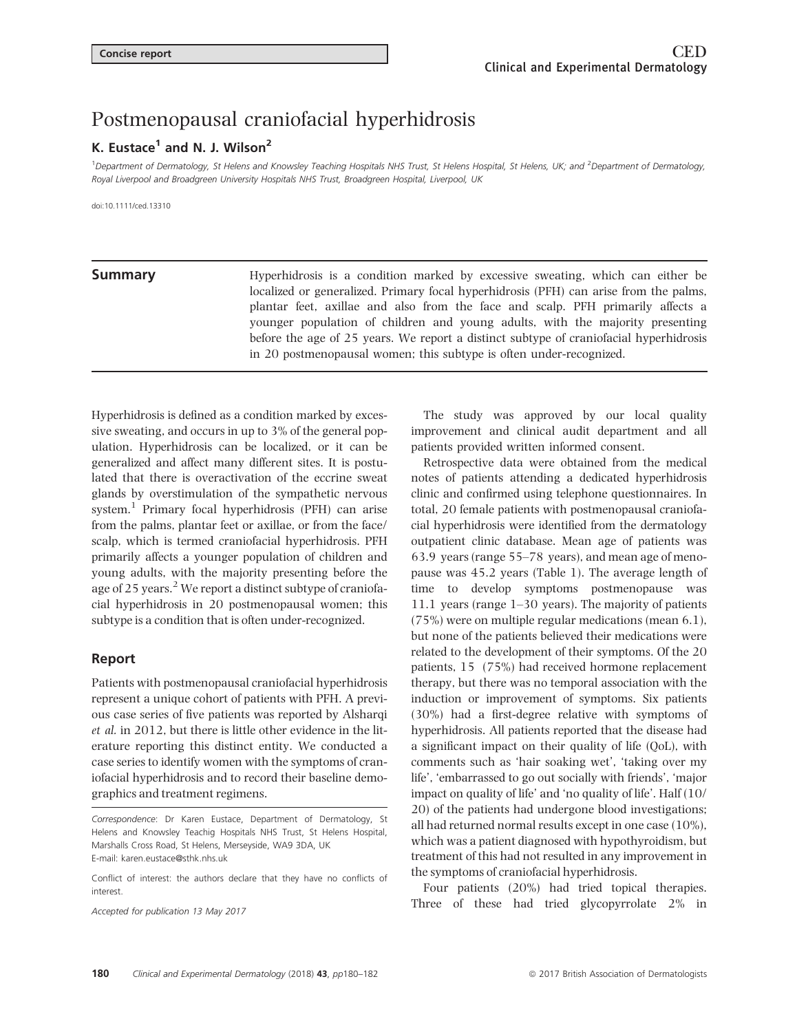# Postmenopausal craniofacial hyperhidrosis

## K. Fustace<sup>1</sup> and N. J. Wilson<sup>2</sup>

<sup>1</sup>Department of Dermatology, St Helens and Knowsley Teaching Hospitals NHS Trust, St Helens Hospital, St Helens, UK; and <sup>2</sup>Department of Dermatology, Royal Liverpool and Broadgreen University Hospitals NHS Trust, Broadgreen Hospital, Liverpool, UK

doi:10.1111/ced.13310

**Summary** Hyperhidrosis is a condition marked by excessive sweating, which can either be localized or generalized. Primary focal hyperhidrosis (PFH) can arise from the palms, plantar feet, axillae and also from the face and scalp. PFH primarily affects a younger population of children and young adults, with the majority presenting before the age of 25 years. We report a distinct subtype of craniofacial hyperhidrosis in 20 postmenopausal women; this subtype is often under-recognized.

Hyperhidrosis is defined as a condition marked by excessive sweating, and occurs in up to 3% of the general population. Hyperhidrosis can be localized, or it can be generalized and affect many different sites. It is postulated that there is overactivation of the eccrine sweat glands by overstimulation of the sympathetic nervous system.<sup>1</sup> Primary focal hyperhidrosis (PFH) can arise from the palms, plantar feet or axillae, or from the face/ scalp, which is termed craniofacial hyperhidrosis. PFH primarily affects a younger population of children and young adults, with the majority presenting before the age of  $25$  years.<sup>2</sup> We report a distinct subtype of craniofacial hyperhidrosis in 20 postmenopausal women; this subtype is a condition that is often under-recognized.

### Report

Patients with postmenopausal craniofacial hyperhidrosis represent a unique cohort of patients with PFH. A previous case series of five patients was reported by Alsharqi et al. in 2012, but there is little other evidence in the literature reporting this distinct entity. We conducted a case series to identify women with the symptoms of craniofacial hyperhidrosis and to record their baseline demographics and treatment regimens.

Accepted for publication 13 May 2017

The study was approved by our local quality improvement and clinical audit department and all patients provided written informed consent.

Retrospective data were obtained from the medical notes of patients attending a dedicated hyperhidrosis clinic and confirmed using telephone questionnaires. In total, 20 female patients with postmenopausal craniofacial hyperhidrosis were identified from the dermatology outpatient clinic database. Mean age of patients was 63.9 years (range 55–78 years), and mean age of menopause was 45.2 years (Table 1). The average length of time to develop symptoms postmenopause was 11.1 years (range 1–30 years). The majority of patients (75%) were on multiple regular medications (mean 6.1), but none of the patients believed their medications were related to the development of their symptoms. Of the 20 patients, 15 (75%) had received hormone replacement therapy, but there was no temporal association with the induction or improvement of symptoms. Six patients (30%) had a first-degree relative with symptoms of hyperhidrosis. All patients reported that the disease had a significant impact on their quality of life (QoL), with comments such as 'hair soaking wet', 'taking over my life', 'embarrassed to go out socially with friends', 'major impact on quality of life' and 'no quality of life'. Half (10/ 20) of the patients had undergone blood investigations; all had returned normal results except in one case (10%), which was a patient diagnosed with hypothyroidism, but treatment of this had not resulted in any improvement in the symptoms of craniofacial hyperhidrosis.

Four patients (20%) had tried topical therapies. Three of these had tried glycopyrrolate 2% in

Correspondence: Dr Karen Eustace, Department of Dermatology, St Helens and Knowsley Teachig Hospitals NHS Trust, St Helens Hospital, Marshalls Cross Road, St Helens, Merseyside, WA9 3DA, UK E-mail: karen.eustace@sthk.nhs.uk

Conflict of interest: the authors declare that they have no conflicts of interest.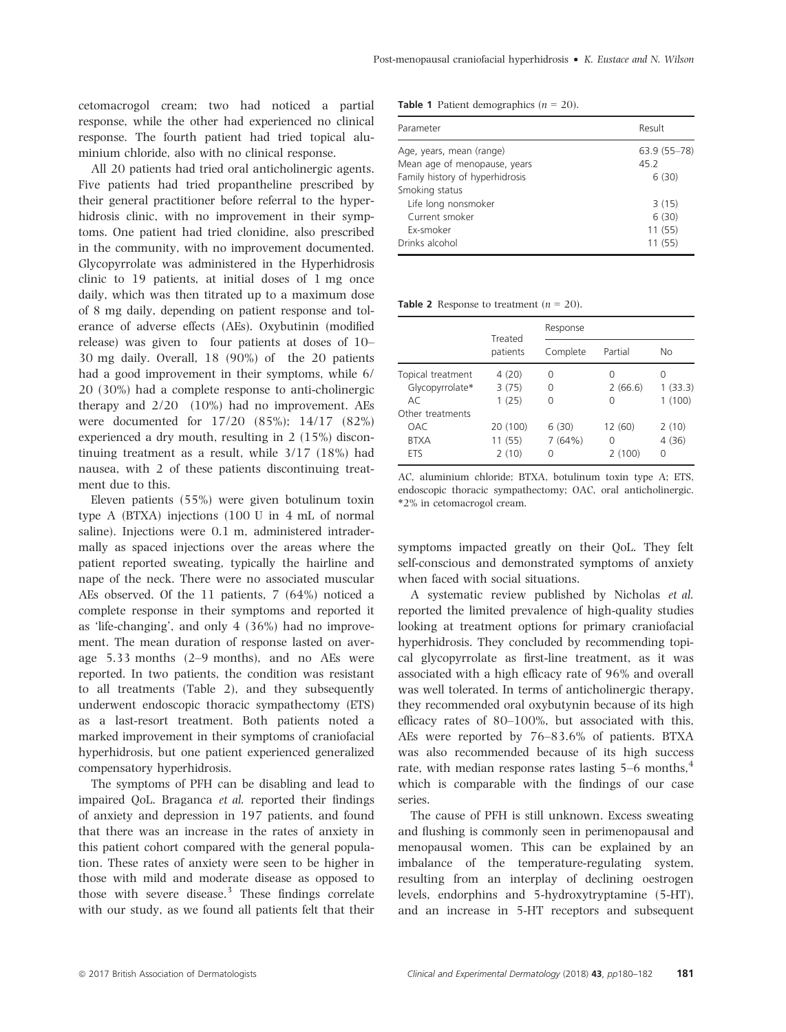cetomacrogol cream; two had noticed a partial response, while the other had experienced no clinical response. The fourth patient had tried topical aluminium chloride, also with no clinical response.

All 20 patients had tried oral anticholinergic agents. Five patients had tried propantheline prescribed by their general practitioner before referral to the hyperhidrosis clinic, with no improvement in their symptoms. One patient had tried clonidine, also prescribed in the community, with no improvement documented. Glycopyrrolate was administered in the Hyperhidrosis clinic to 19 patients, at initial doses of 1 mg once daily, which was then titrated up to a maximum dose of 8 mg daily, depending on patient response and tolerance of adverse effects (AEs). Oxybutinin (modified release) was given to four patients at doses of 10– 30 mg daily. Overall, 18 (90%) of the 20 patients had a good improvement in their symptoms, while 6/ 20 (30%) had a complete response to anti-cholinergic therapy and  $2/20$  (10%) had no improvement. AEs were documented for 17/20 (85%); 14/17 (82%) experienced a dry mouth, resulting in 2 (15%) discontinuing treatment as a result, while 3/17 (18%) had nausea, with 2 of these patients discontinuing treatment due to this.

Eleven patients (55%) were given botulinum toxin type A (BTXA) injections (100 U in 4 mL of normal saline). Injections were 0.1 m, administered intradermally as spaced injections over the areas where the patient reported sweating, typically the hairline and nape of the neck. There were no associated muscular AEs observed. Of the 11 patients, 7 (64%) noticed a complete response in their symptoms and reported it as 'life-changing', and only 4 (36%) had no improvement. The mean duration of response lasted on average 5.33 months (2–9 months), and no AEs were reported. In two patients, the condition was resistant to all treatments (Table 2), and they subsequently underwent endoscopic thoracic sympathectomy (ETS) as a last-resort treatment. Both patients noted a marked improvement in their symptoms of craniofacial hyperhidrosis, but one patient experienced generalized compensatory hyperhidrosis.

The symptoms of PFH can be disabling and lead to impaired QoL. Braganca et al. reported their findings of anxiety and depression in 197 patients, and found that there was an increase in the rates of anxiety in this patient cohort compared with the general population. These rates of anxiety were seen to be higher in those with mild and moderate disease as opposed to those with severe disease.<sup>3</sup> These findings correlate with our study, as we found all patients felt that their **Table 1** Patient demographics  $(n = 20)$ .

| Parameter                       | Result       |  |
|---------------------------------|--------------|--|
| Age, years, mean (range)        | 63.9 (55-78) |  |
| Mean age of menopause, years    | 45.2         |  |
| Family history of hyperhidrosis | 6(30)        |  |
| Smoking status                  |              |  |
| Life long nonsmoker             | 3(15)        |  |
| Current smoker                  | 6(30)        |  |
| Ex-smoker                       | 11(55)       |  |
| Drinks alcohol                  | 11 (55)      |  |

**Table 2** Response to treatment  $(n = 20)$ .

|                                                                 | Treated<br>patients          | Response             |                        |                        |
|-----------------------------------------------------------------|------------------------------|----------------------|------------------------|------------------------|
|                                                                 |                              | Complete             | Partial                | Nο                     |
| Topical treatment<br>Glycopyrrolate*<br>AC.<br>Other treatments | 4(20)<br>3(75)<br>1(25)      | 0<br>0<br>O          | O<br>2(66.6)<br>O      | 0<br>1(33.3)<br>1(100) |
| OAC.<br><b>BTXA</b><br>ETS                                      | 20 (100)<br>11 (55)<br>2(10) | 6(30)<br>7(64%)<br>0 | 12 (60)<br>0<br>2(100) | 2(10)<br>4(36)<br>0    |

AC, aluminium chloride; BTXA, botulinum toxin type A; ETS, endoscopic thoracic sympathectomy; OAC, oral anticholinergic. \*2% in cetomacrogol cream.

symptoms impacted greatly on their QoL. They felt self-conscious and demonstrated symptoms of anxiety when faced with social situations.

A systematic review published by Nicholas et al. reported the limited prevalence of high-quality studies looking at treatment options for primary craniofacial hyperhidrosis. They concluded by recommending topical glycopyrrolate as first-line treatment, as it was associated with a high efficacy rate of 96% and overall was well tolerated. In terms of anticholinergic therapy, they recommended oral oxybutynin because of its high efficacy rates of 80–100%, but associated with this, AEs were reported by 76–83.6% of patients. BTXA was also recommended because of its high success rate, with median response rates lasting  $5-6$  months,<sup>4</sup> which is comparable with the findings of our case series.

The cause of PFH is still unknown. Excess sweating and flushing is commonly seen in perimenopausal and menopausal women. This can be explained by an imbalance of the temperature-regulating system, resulting from an interplay of declining oestrogen levels, endorphins and 5-hydroxytryptamine (5-HT), and an increase in 5-HT receptors and subsequent